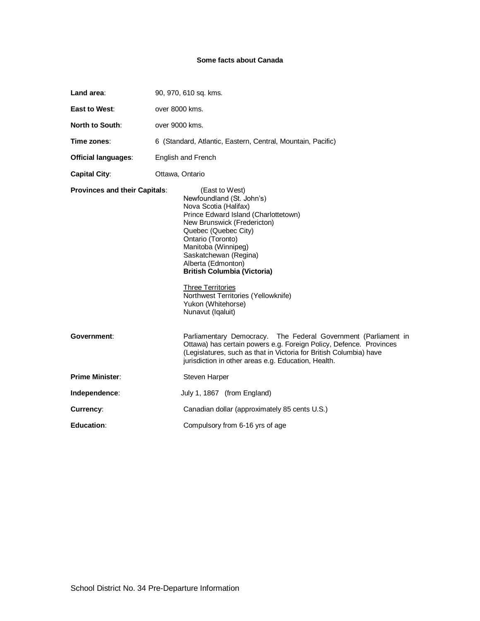# **Some facts about Canada**

| Land area:                           | 90, 970, 610 sq. kms.                                                                                                                                                                                                                                                                                                                                                                                              |
|--------------------------------------|--------------------------------------------------------------------------------------------------------------------------------------------------------------------------------------------------------------------------------------------------------------------------------------------------------------------------------------------------------------------------------------------------------------------|
| East to West:                        | over 8000 kms.                                                                                                                                                                                                                                                                                                                                                                                                     |
| <b>North to South:</b>               | over 9000 kms.                                                                                                                                                                                                                                                                                                                                                                                                     |
| Time zones:                          | 6 (Standard, Atlantic, Eastern, Central, Mountain, Pacific)                                                                                                                                                                                                                                                                                                                                                        |
| <b>Official languages:</b>           | English and French                                                                                                                                                                                                                                                                                                                                                                                                 |
| <b>Capital City:</b>                 | Ottawa, Ontario                                                                                                                                                                                                                                                                                                                                                                                                    |
| <b>Provinces and their Capitals:</b> | (East to West)<br>Newfoundland (St. John's)<br>Nova Scotia (Halifax)<br>Prince Edward Island (Charlottetown)<br>New Brunswick (Fredericton)<br>Quebec (Quebec City)<br>Ontario (Toronto)<br>Manitoba (Winnipeg)<br>Saskatchewan (Regina)<br>Alberta (Edmonton)<br><b>British Columbia (Victoria)</b><br><b>Three Territories</b><br>Northwest Territories (Yellowknife)<br>Yukon (Whitehorse)<br>Nunavut (Igaluit) |
| Government:                          | Parliamentary Democracy. The Federal Government (Parliament in<br>Ottawa) has certain powers e.g. Foreign Policy, Defence. Provinces<br>(Legislatures, such as that in Victoria for British Columbia) have<br>jurisdiction in other areas e.g. Education, Health.                                                                                                                                                  |
| <b>Prime Minister:</b>               | Steven Harper                                                                                                                                                                                                                                                                                                                                                                                                      |
| Independence:                        | July 1, 1867 (from England)                                                                                                                                                                                                                                                                                                                                                                                        |
| Currency:                            | Canadian dollar (approximately 85 cents U.S.)                                                                                                                                                                                                                                                                                                                                                                      |
| <b>Education:</b>                    | Compulsory from 6-16 yrs of age                                                                                                                                                                                                                                                                                                                                                                                    |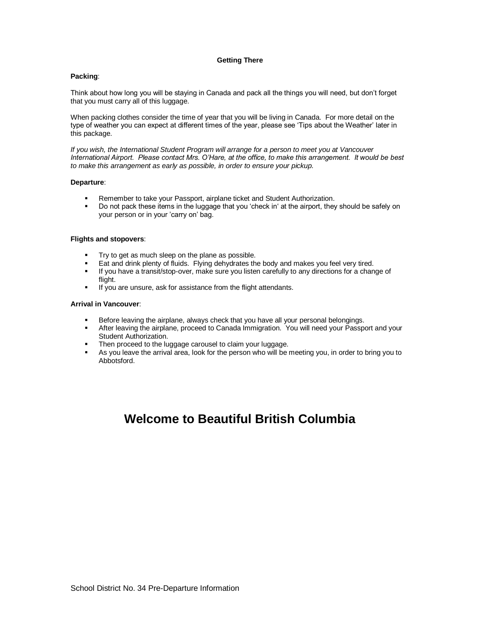# **Getting There**

## **Packing**:

Think about how long you will be staying in Canada and pack all the things you will need, but don't forget that you must carry all of this luggage.

When packing clothes consider the time of year that you will be living in Canada. For more detail on the type of weather you can expect at different times of the year, please see 'Tips about the Weather' later in this package.

*If you wish, the International Student Program will arrange for a person to meet you at Vancouver International Airport. Please contact Mrs. O'Hare, at the office, to make this arrangement. It would be best to make this arrangement as early as possible, in order to ensure your pickup.* 

## **Departure**:

- Remember to take your Passport, airplane ticket and Student Authorization.
- Do not pack these items in the luggage that you 'check in' at the airport, they should be safely on your person or in your 'carry on' bag.

## **Flights and stopovers**:

- Try to get as much sleep on the plane as possible.
- Eat and drink plenty of fluids. Flying dehydrates the body and makes you feel very tired.
- If you have a transit/stop-over, make sure you listen carefully to any directions for a change of flight.
- If you are unsure, ask for assistance from the flight attendants.

## **Arrival in Vancouver**:

- **Before leaving the airplane, always check that you have all your personal belongings.**
- After leaving the airplane, proceed to Canada Immigration. You will need your Passport and your Student Authorization.
- Then proceed to the luggage carousel to claim your luggage.
- As you leave the arrival area, look for the person who will be meeting you, in order to bring you to Abbotsford.

# **Welcome to Beautiful British Columbia**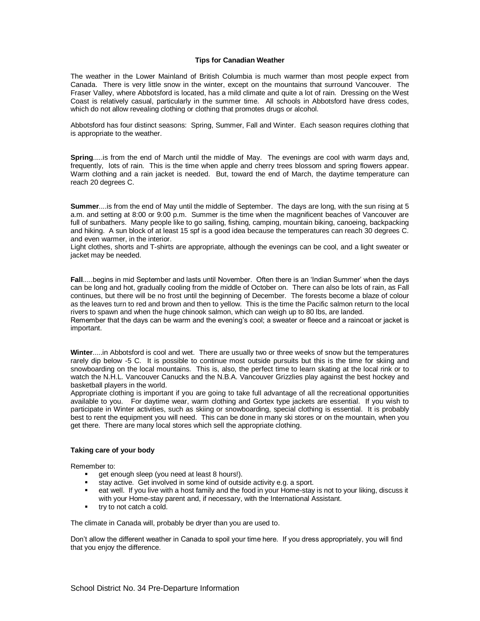## **Tips for Canadian Weather**

The weather in the Lower Mainland of British Columbia is much warmer than most people expect from Canada. There is very little snow in the winter, except on the mountains that surround Vancouver. The Fraser Valley, where Abbotsford is located, has a mild climate and quite a lot of rain. Dressing on the West Coast is relatively casual, particularly in the summer time. All schools in Abbotsford have dress codes, which do not allow revealing clothing or clothing that promotes drugs or alcohol.

Abbotsford has four distinct seasons: Spring, Summer, Fall and Winter. Each season requires clothing that is appropriate to the weather.

**Spring**.....is from the end of March until the middle of May. The evenings are cool with warm days and, frequently, lots of rain. This is the time when apple and cherry trees blossom and spring flowers appear. Warm clothing and a rain jacket is needed. But, toward the end of March, the daytime temperature can reach 20 degrees C.

**Summer**....is from the end of May until the middle of September. The days are long, with the sun rising at 5 a.m. and setting at 8:00 or 9:00 p.m. Summer is the time when the magnificent beaches of Vancouver are full of sunbathers. Many people like to go sailing, fishing, camping, mountain biking, canoeing, backpacking and hiking. A sun block of at least 15 spf is a good idea because the temperatures can reach 30 degrees C. and even warmer, in the interior.

Light clothes, shorts and T-shirts are appropriate, although the evenings can be cool, and a light sweater or jacket may be needed.

**Fall**.....begins in mid September and lasts until November. Often there is an 'Indian Summer' when the days can be long and hot, gradually cooling from the middle of October on. There can also be lots of rain, as Fall continues, but there will be no frost until the beginning of December. The forests become a blaze of colour as the leaves turn to red and brown and then to yellow. This is the time the Pacific salmon return to the local rivers to spawn and when the huge chinook salmon, which can weigh up to 80 lbs, are landed.

Remember that the days can be warm and the evening's cool; a sweater or fleece and a raincoat or jacket is important.

**Winter**.....in Abbotsford is cool and wet. There are usually two or three weeks of snow but the temperatures rarely dip below -5 C. It is possible to continue most outside pursuits but this is the time for skiing and snowboarding on the local mountains. This is, also, the perfect time to learn skating at the local rink or to watch the N.H.L. Vancouver Canucks and the N.B.A. Vancouver Grizzlies play against the best hockey and basketball players in the world.

Appropriate clothing is important if you are going to take full advantage of all the recreational opportunities available to you. For daytime wear, warm clothing and Gortex type jackets are essential. If you wish to participate in Winter activities, such as skiing or snowboarding, special clothing is essential. It is probably best to rent the equipment you will need. This can be done in many ski stores or on the mountain, when you get there. There are many local stores which sell the appropriate clothing.

#### **Taking care of your body**

Remember to:

- get enough sleep (you need at least 8 hours!).
- stay active. Get involved in some kind of outside activity e.g. a sport.
- eat well. If you live with a host family and the food in your Home-stay is not to your liking, discuss it with your Home-stay parent and, if necessary, with the International Assistant.
- **try to not catch a cold.**

The climate in Canada will, probably be dryer than you are used to.

Don't allow the different weather in Canada to spoil your time here. If you dress appropriately, you will find that you enjoy the difference.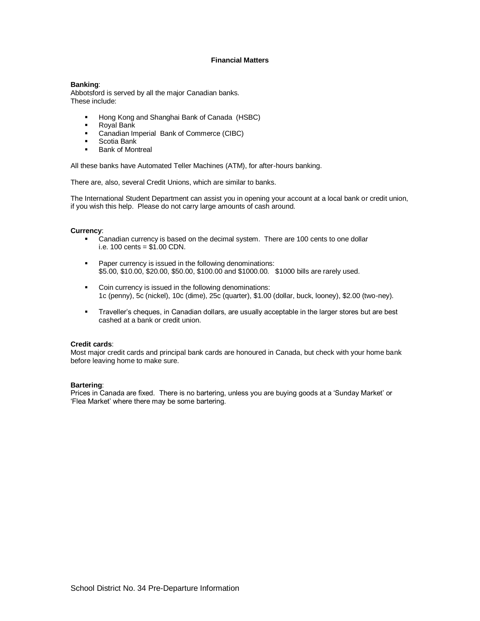## **Financial Matters**

## **Banking**:

Abbotsford is served by all the major Canadian banks. These include:

- **Hong Kong and Shanghai Bank of Canada (HSBC)**
- **Royal Bank**
- Canadian Imperial Bank of Commerce (CIBC)
- **Scotia Bank**
- **Bank of Montreal**

All these banks have Automated Teller Machines (ATM), for after-hours banking.

There are, also, several Credit Unions, which are similar to banks.

The International Student Department can assist you in opening your account at a local bank or credit union, if you wish this help. Please do not carry large amounts of cash around.

## **Currency**:

- Canadian currency is based on the decimal system. There are 100 cents to one dollar i.e. 100 cents = \$1.00 CDN.
- **Paper currency is issued in the following denominations:** \$5.00, \$10.00, \$20.00, \$50.00, \$100.00 and \$1000.00. \$1000 bills are rarely used.
- Coin currency is issued in the following denominations: 1c (penny), 5c (nickel), 10c (dime), 25c (quarter), \$1.00 (dollar, buck, looney), \$2.00 (two-ney).
- Traveller's cheques, in Canadian dollars, are usually acceptable in the larger stores but are best cashed at a bank or credit union.

## **Credit cards**:

Most major credit cards and principal bank cards are honoured in Canada, but check with your home bank before leaving home to make sure.

## **Bartering**:

Prices in Canada are fixed. There is no bartering, unless you are buying goods at a 'Sunday Market' or 'Flea Market' where there may be some bartering.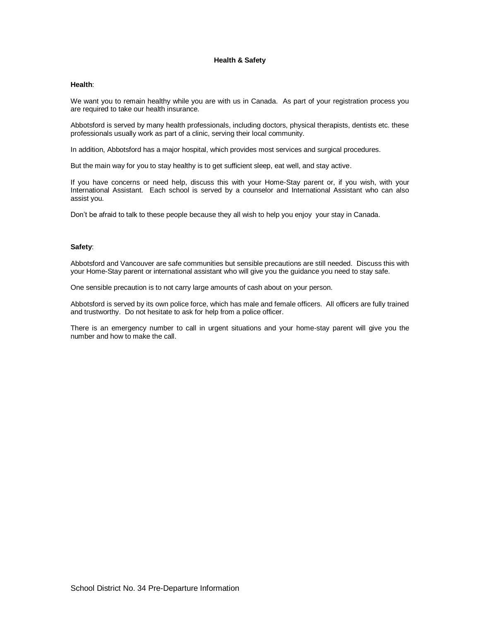## **Health & Safety**

## **Health**:

We want you to remain healthy while you are with us in Canada. As part of your registration process you are required to take our health insurance.

Abbotsford is served by many health professionals, including doctors, physical therapists, dentists etc. these professionals usually work as part of a clinic, serving their local community.

In addition, Abbotsford has a major hospital, which provides most services and surgical procedures.

But the main way for you to stay healthy is to get sufficient sleep, eat well, and stay active.

If you have concerns or need help, discuss this with your Home-Stay parent or, if you wish, with your International Assistant. Each school is served by a counselor and International Assistant who can also assist you.

Don't be afraid to talk to these people because they all wish to help you enjoy your stay in Canada.

## **Safety**:

Abbotsford and Vancouver are safe communities but sensible precautions are still needed. Discuss this with your Home-Stay parent or international assistant who will give you the guidance you need to stay safe.

One sensible precaution is to not carry large amounts of cash about on your person.

Abbotsford is served by its own police force, which has male and female officers. All officers are fully trained and trustworthy. Do not hesitate to ask for help from a police officer.

There is an emergency number to call in urgent situations and your home-stay parent will give you the number and how to make the call.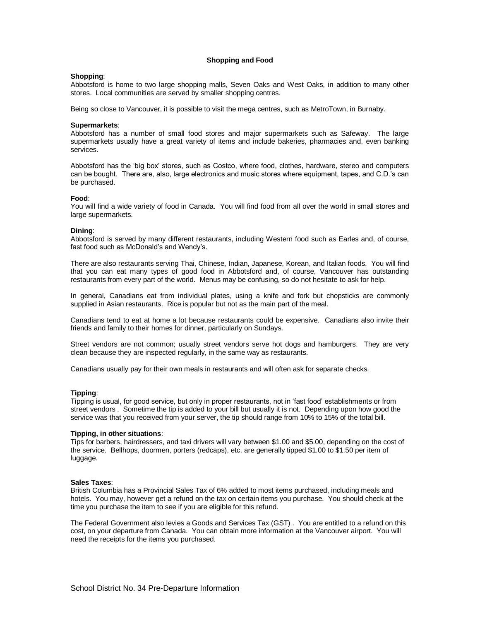## **Shopping and Food**

#### **Shopping**:

Abbotsford is home to two large shopping malls, Seven Oaks and West Oaks, in addition to many other stores. Local communities are served by smaller shopping centres.

Being so close to Vancouver, it is possible to visit the mega centres, such as MetroTown, in Burnaby.

#### **Supermarkets**:

Abbotsford has a number of small food stores and major supermarkets such as Safeway. The large supermarkets usually have a great variety of items and include bakeries, pharmacies and, even banking services.

Abbotsford has the 'big box' stores, such as Costco, where food, clothes, hardware, stereo and computers can be bought. There are, also, large electronics and music stores where equipment, tapes, and C.D.'s can be purchased.

#### **Food**:

You will find a wide variety of food in Canada. You will find food from all over the world in small stores and large supermarkets.

#### **Dining**:

Abbotsford is served by many different restaurants, including Western food such as Earles and, of course, fast food such as McDonald's and Wendy's.

There are also restaurants serving Thai, Chinese, Indian, Japanese, Korean, and Italian foods. You will find that you can eat many types of good food in Abbotsford and, of course, Vancouver has outstanding restaurants from every part of the world. Menus may be confusing, so do not hesitate to ask for help.

In general, Canadians eat from individual plates, using a knife and fork but chopsticks are commonly supplied in Asian restaurants. Rice is popular but not as the main part of the meal.

Canadians tend to eat at home a lot because restaurants could be expensive. Canadians also invite their friends and family to their homes for dinner, particularly on Sundays.

Street vendors are not common; usually street vendors serve hot dogs and hamburgers. They are very clean because they are inspected regularly, in the same way as restaurants.

Canadians usually pay for their own meals in restaurants and will often ask for separate checks.

#### **Tipping**:

Tipping is usual, for good service, but only in proper restaurants, not in 'fast food' establishments or from street vendors . Sometime the tip is added to your bill but usually it is not. Depending upon how good the service was that you received from your server, the tip should range from 10% to 15% of the total bill.

#### **Tipping, in other situations**:

Tips for barbers, hairdressers, and taxi drivers will vary between \$1.00 and \$5.00, depending on the cost of the service. Bellhops, doormen, porters (redcaps), etc. are generally tipped \$1.00 to \$1.50 per item of luggage.

#### **Sales Taxes**:

British Columbia has a Provincial Sales Tax of 6% added to most items purchased, including meals and hotels. You may, however get a refund on the tax on certain items you purchase. You should check at the time you purchase the item to see if you are eligible for this refund.

The Federal Government also levies a Goods and Services Tax (GST) . You are entitled to a refund on this cost, on your departure from Canada. You can obtain more information at the Vancouver airport. You will need the receipts for the items you purchased.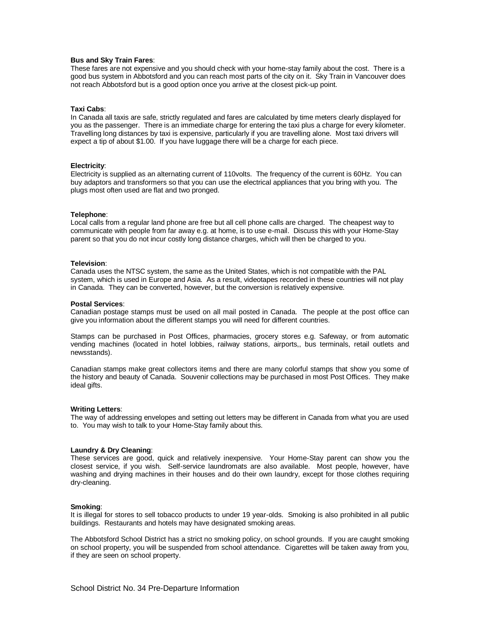#### **Bus and Sky Train Fares**:

These fares are not expensive and you should check with your home-stay family about the cost. There is a good bus system in Abbotsford and you can reach most parts of the city on it. Sky Train in Vancouver does not reach Abbotsford but is a good option once you arrive at the closest pick-up point.

#### **Taxi Cabs**:

In Canada all taxis are safe, strictly regulated and fares are calculated by time meters clearly displayed for you as the passenger. There is an immediate charge for entering the taxi plus a charge for every kilometer. Travelling long distances by taxi is expensive, particularly if you are travelling alone. Most taxi drivers will expect a tip of about \$1.00. If you have luggage there will be a charge for each piece.

## **Electricity**:

Electricity is supplied as an alternating current of 110volts. The frequency of the current is 60Hz. You can buy adaptors and transformers so that you can use the electrical appliances that you bring with you. The plugs most often used are flat and two pronged.

## **Telephone**:

Local calls from a regular land phone are free but all cell phone calls are charged. The cheapest way to communicate with people from far away e.g. at home, is to use e-mail. Discuss this with your Home-Stay parent so that you do not incur costly long distance charges, which will then be charged to you.

#### **Television**:

Canada uses the NTSC system, the same as the United States, which is not compatible with the PAL system, which is used in Europe and Asia. As a result, videotapes recorded in these countries will not play in Canada. They can be converted, however, but the conversion is relatively expensive.

## **Postal Services**:

Canadian postage stamps must be used on all mail posted in Canada. The people at the post office can give you information about the different stamps you will need for different countries.

Stamps can be purchased in Post Offices, pharmacies, grocery stores e.g. Safeway, or from automatic vending machines (located in hotel lobbies, railway stations, airports,, bus terminals, retail outlets and newsstands).

Canadian stamps make great collectors items and there are many colorful stamps that show you some of the history and beauty of Canada. Souvenir collections may be purchased in most Post Offices. They make ideal gifts.

## **Writing Letters**:

The way of addressing envelopes and setting out letters may be different in Canada from what you are used to. You may wish to talk to your Home-Stay family about this.

## **Laundry & Dry Cleaning**:

These services are good, quick and relatively inexpensive. Your Home-Stay parent can show you the closest service, if you wish. Self-service laundromats are also available. Most people, however, have washing and drying machines in their houses and do their own laundry, except for those clothes requiring dry-cleaning.

#### **Smoking**:

It is illegal for stores to sell tobacco products to under 19 year-olds. Smoking is also prohibited in all public buildings. Restaurants and hotels may have designated smoking areas.

The Abbotsford School District has a strict no smoking policy, on school grounds. If you are caught smoking on school property, you will be suspended from school attendance. Cigarettes will be taken away from you, if they are seen on school property.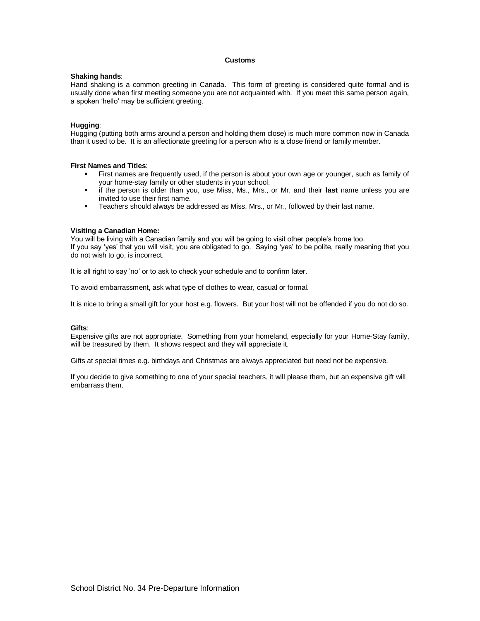#### **Customs**

#### **Shaking hands**:

Hand shaking is a common greeting in Canada. This form of greeting is considered quite formal and is usually done when first meeting someone you are not acquainted with. If you meet this same person again, a spoken 'hello' may be sufficient greeting.

## **Hugging**:

Hugging (putting both arms around a person and holding them close) is much more common now in Canada than it used to be. It is an affectionate greeting for a person who is a close friend or family member.

## **First Names and Titles**:

- First names are frequently used, if the person is about your own age or younger, such as family of your home-stay family or other students in your school.
- if the person is older than you, use Miss, Ms., Mrs., or Mr. and their **last** name unless you are invited to use their first name.
- **Teachers should always be addressed as Miss, Mrs., or Mr., followed by their last name.**

## **Visiting a Canadian Home:**

You will be living with a Canadian family and you will be going to visit other people's home too. If you say 'yes' that you will visit, you are obligated to go. Saying 'yes' to be polite, really meaning that you do not wish to go, is incorrect.

It is all right to say 'no' or to ask to check your schedule and to confirm later.

To avoid embarrassment, ask what type of clothes to wear, casual or formal.

It is nice to bring a small gift for your host e.g. flowers. But your host will not be offended if you do not do so.

#### **Gifts**:

Expensive gifts are not appropriate. Something from your homeland, especially for your Home-Stay family, will be treasured by them. It shows respect and they will appreciate it.

Gifts at special times e.g. birthdays and Christmas are always appreciated but need not be expensive.

If you decide to give something to one of your special teachers, it will please them, but an expensive gift will embarrass them.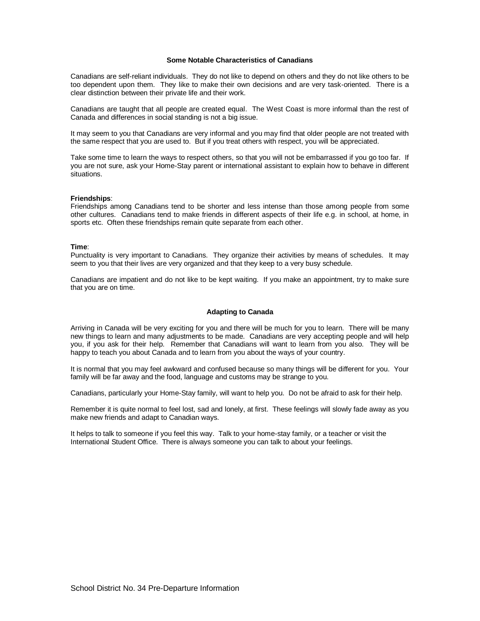## **Some Notable Characteristics of Canadians**

Canadians are self-reliant individuals. They do not like to depend on others and they do not like others to be too dependent upon them. They like to make their own decisions and are very task-oriented. There is a clear distinction between their private life and their work.

Canadians are taught that all people are created equal. The West Coast is more informal than the rest of Canada and differences in social standing is not a big issue.

It may seem to you that Canadians are very informal and you may find that older people are not treated with the same respect that you are used to. But if you treat others with respect, you will be appreciated.

Take some time to learn the ways to respect others, so that you will not be embarrassed if you go too far. If you are not sure, ask your Home-Stay parent or international assistant to explain how to behave in different situations.

#### **Friendships**:

Friendships among Canadians tend to be shorter and less intense than those among people from some other cultures. Canadians tend to make friends in different aspects of their life e.g. in school, at home, in sports etc. Often these friendships remain quite separate from each other.

## **Time**:

Punctuality is very important to Canadians. They organize their activities by means of schedules. It may seem to you that their lives are very organized and that they keep to a very busy schedule.

Canadians are impatient and do not like to be kept waiting. If you make an appointment, try to make sure that you are on time.

#### **Adapting to Canada**

Arriving in Canada will be very exciting for you and there will be much for you to learn. There will be many new things to learn and many adjustments to be made. Canadians are very accepting people and will help you, if you ask for their help. Remember that Canadians will want to learn from you also. They will be happy to teach you about Canada and to learn from you about the ways of your country.

It is normal that you may feel awkward and confused because so many things will be different for you. Your family will be far away and the food, language and customs may be strange to you.

Canadians, particularly your Home-Stay family, will want to help you. Do not be afraid to ask for their help.

Remember it is quite normal to feel lost, sad and lonely, at first. These feelings will slowly fade away as you make new friends and adapt to Canadian ways.

It helps to talk to someone if you feel this way. Talk to your home-stay family, or a teacher or visit the International Student Office. There is always someone you can talk to about your feelings.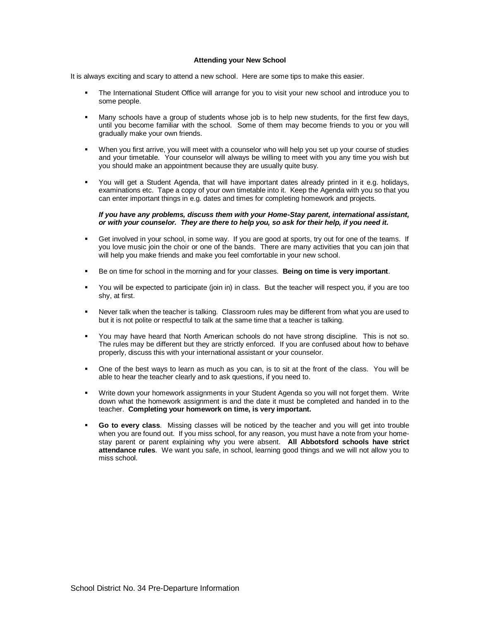## **Attending your New School**

It is always exciting and scary to attend a new school. Here are some tips to make this easier.

- The International Student Office will arrange for you to visit your new school and introduce you to some people.
- Many schools have a group of students whose job is to help new students, for the first few days, until you become familiar with the school. Some of them may become friends to you or you will gradually make your own friends.
- When you first arrive, you will meet with a counselor who will help you set up your course of studies and your timetable. Your counselor will always be willing to meet with you any time you wish but you should make an appointment because they are usually quite busy.
- You will get a Student Agenda, that will have important dates already printed in it e.g. holidays, examinations etc. Tape a copy of your own timetable into it. Keep the Agenda with you so that you can enter important things in e.g. dates and times for completing homework and projects.

## *If you have any problems, discuss them with your Home-Stay parent, international assistant, or with your counselor. They are there to help you, so ask for their help, if you need it.*

- Get involved in your school, in some way. If you are good at sports, try out for one of the teams. If you love music join the choir or one of the bands. There are many activities that you can join that will help you make friends and make you feel comfortable in your new school.
- Be on time for school in the morning and for your classes. **Being on time is very important**.
- You will be expected to participate (join in) in class. But the teacher will respect you, if you are too shy, at first.
- Never talk when the teacher is talking. Classroom rules may be different from what you are used to but it is not polite or respectful to talk at the same time that a teacher is talking.
- You may have heard that North American schools do not have strong discipline. This is not so. The rules may be different but they are strictly enforced. If you are confused about how to behave properly, discuss this with your international assistant or your counselor.
- One of the best ways to learn as much as you can, is to sit at the front of the class. You will be able to hear the teacher clearly and to ask questions, if you need to.
- Write down your homework assignments in your Student Agenda so you will not forget them. Write down what the homework assignment is and the date it must be completed and handed in to the teacher. **Completing your homework on time, is very important.**
- **Go to every class**. Missing classes will be noticed by the teacher and you will get into trouble when you are found out. If you miss school, for any reason, you must have a note from your homestay parent or parent explaining why you were absent. **All Abbotsford schools have strict attendance rules**. We want you safe, in school, learning good things and we will not allow you to miss school.